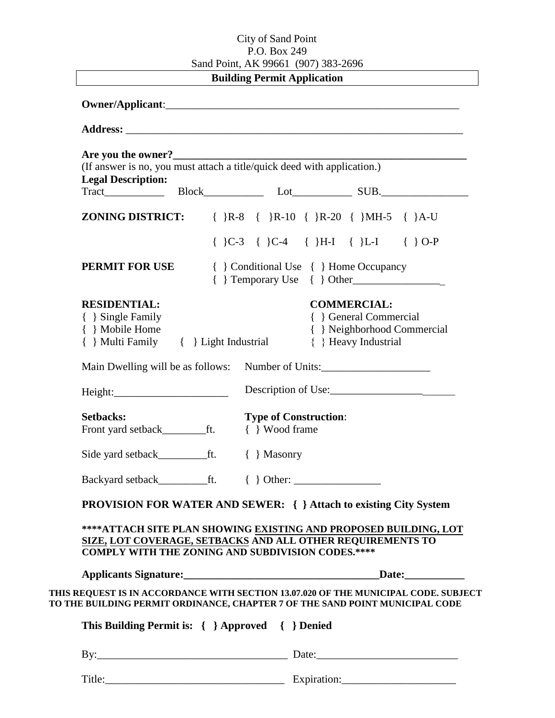## City of Sand Point P.O. Box 249 Sand Point, AK 99661 (907) 383-2696

**Building Permit Application** 

| Are you the owner?                               |                                                                                                                                                                     |
|--------------------------------------------------|---------------------------------------------------------------------------------------------------------------------------------------------------------------------|
|                                                  | (If answer is no, you must attach a title/quick deed with application.)                                                                                             |
| <b>Legal Description:</b>                        |                                                                                                                                                                     |
|                                                  |                                                                                                                                                                     |
| ZONING DISTRICT:                                 | $\{ \}R-8 \{ \}R-10 \{ \}R-20 \{ \}MH-5 \{ \}A-U$                                                                                                                   |
|                                                  | $\{\}C-3\{\}C-4\{\}H-I\{\}L-I\{\}O-P$                                                                                                                               |
| PERMIT FOR USE                                   | { } Conditional Use { } Home Occupancy<br>$\{\}$ Temporary Use $\{\}$ Other                                                                                         |
| <b>RESIDENTIAL:</b>                              | <b>COMMERCIAL:</b>                                                                                                                                                  |
| { } Single Family                                | { } General Commercial                                                                                                                                              |
| { } Mobile Home                                  | { } Neighborhood Commercial                                                                                                                                         |
| { } Multi Family { } Light Industrial            | { } Heavy Industrial                                                                                                                                                |
|                                                  | Main Dwelling will be as follows: Number of Units:                                                                                                                  |
| Height:                                          | Description of Use:                                                                                                                                                 |
| <b>Setbacks:</b>                                 | <b>Type of Construction:</b>                                                                                                                                        |
| Front yard setback____________ft.                | { } Wood frame                                                                                                                                                      |
|                                                  | $\{\ \}$ Masonry                                                                                                                                                    |
|                                                  |                                                                                                                                                                     |
|                                                  | PROVISION FOR WATER AND SEWER: { } Attach to existing City System                                                                                                   |
|                                                  | ****ATTACH SITE PLAN SHOWING EXISTING AND PROPOSED BUILDING, LOT                                                                                                    |
|                                                  | SIZE, LOT COVERAGE, SETBACKS AND ALL OTHER REQUIREMENTS TO                                                                                                          |
|                                                  | <b>COMPLY WITH THE ZONING AND SUBDIVISION CODES.****</b>                                                                                                            |
|                                                  |                                                                                                                                                                     |
|                                                  |                                                                                                                                                                     |
|                                                  | THIS REQUEST IS IN ACCORDANCE WITH SECTION 13.07.020 OF THE MUNICIPAL CODE. SUBJECT<br>TO THE BUILDING PERMIT ORDINANCE, CHAPTER 7 OF THE SAND POINT MUNICIPAL CODE |
|                                                  |                                                                                                                                                                     |
| This Building Permit is: { } Approved { } Denied |                                                                                                                                                                     |